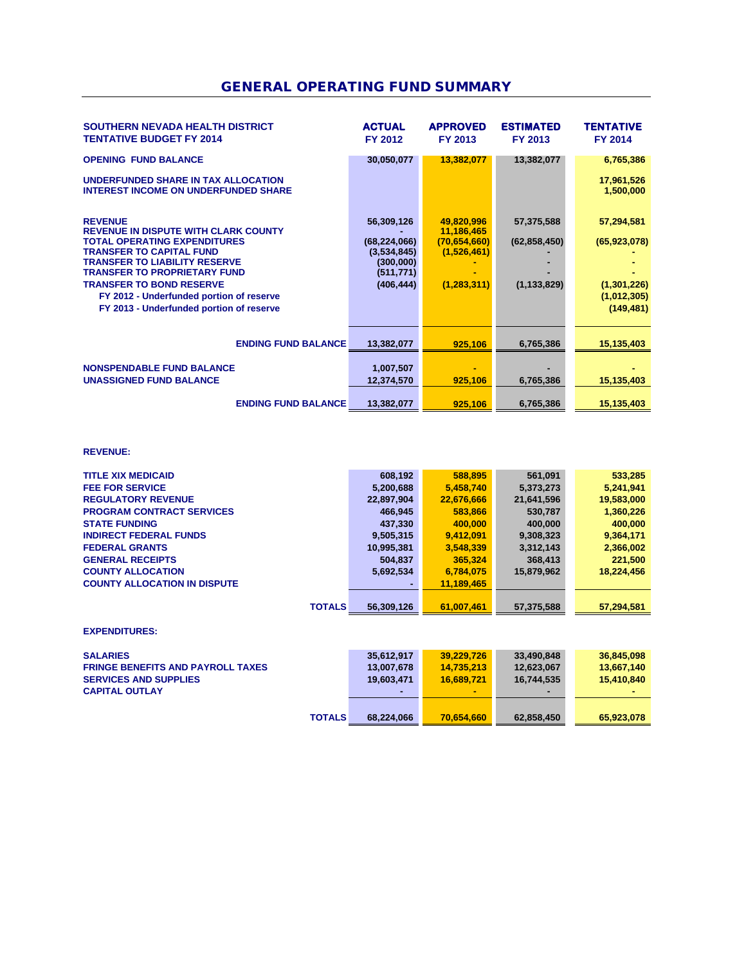## GENERAL OPERATING FUND SUMMARY

| SOUTHERN NEVADA HEALTH DISTRICT<br><b>TENTATIVE BUDGET FY 2014</b>                                                                                                                                                                                                                                                                                | <b>ACTUAL</b><br>FY 2012                                                             | <b>APPROVED</b><br>FY 2013                                               | <b>ESTIMATED</b><br>FY 2013                   | <b>TENTATIVE</b><br><b>FY 2014</b>                                       |
|---------------------------------------------------------------------------------------------------------------------------------------------------------------------------------------------------------------------------------------------------------------------------------------------------------------------------------------------------|--------------------------------------------------------------------------------------|--------------------------------------------------------------------------|-----------------------------------------------|--------------------------------------------------------------------------|
| <b>OPENING FUND BALANCE</b>                                                                                                                                                                                                                                                                                                                       | 30,050,077                                                                           | 13,382,077                                                               | 13,382,077                                    | 6,765,386                                                                |
| UNDERFUNDED SHARE IN TAX ALLOCATION<br><b>INTEREST INCOME ON UNDERFUNDED SHARE</b>                                                                                                                                                                                                                                                                |                                                                                      |                                                                          |                                               | 17,961,526<br>1,500,000                                                  |
| <b>REVENUE</b><br><b>REVENUE IN DISPUTE WITH CLARK COUNTY</b><br><b>TOTAL OPERATING EXPENDITURES</b><br><b>TRANSFER TO CAPITAL FUND</b><br><b>TRANSFER TO LIABILITY RESERVE</b><br><b>TRANSFER TO PROPRIETARY FUND</b><br><b>TRANSFER TO BOND RESERVE</b><br>FY 2012 - Underfunded portion of reserve<br>FY 2013 - Underfunded portion of reserve | 56,309,126<br>(68, 224, 066)<br>(3,534,845)<br>(300,000)<br>(511, 771)<br>(406, 444) | 49,820,996<br>11,186,465<br>(70,654,660)<br>(1,526,461)<br>(1, 283, 311) | 57,375,588<br>(62, 858, 450)<br>(1, 133, 829) | 57,294,581<br>(65, 923, 078)<br>(1,301,226)<br>(1,012,305)<br>(149, 481) |
| <b>ENDING FUND BALANCE</b>                                                                                                                                                                                                                                                                                                                        | 13,382,077                                                                           | 925,106                                                                  | 6,765,386                                     | 15,135,403                                                               |
| <b>NONSPENDABLE FUND BALANCE</b><br><b>UNASSIGNED FUND BALANCE</b>                                                                                                                                                                                                                                                                                | 1,007,507<br>12,374,570                                                              | 925,106                                                                  | 6,765,386                                     | 15,135,403                                                               |
| <b>ENDING FUND BALANCE</b>                                                                                                                                                                                                                                                                                                                        | 13,382,077                                                                           | 925.106                                                                  | 6,765,386                                     | 15,135,403                                                               |

#### **REVENUE:**

| <b>TITLE XIX MEDICAID</b>           | 608,192    | 588,895    | 561,091    | 533,285    |
|-------------------------------------|------------|------------|------------|------------|
| <b>FEE FOR SERVICE</b>              | 5,200,688  | 5,458,740  | 5,373,273  | 5,241,941  |
| <b>REGULATORY REVENUE</b>           | 22,897,904 | 22,676,666 | 21,641,596 | 19,583,000 |
| <b>PROGRAM CONTRACT SERVICES</b>    | 466,945    | 583,866    | 530.787    | 1,360,226  |
| <b>STATE FUNDING</b>                | 437,330    | 400,000    | 400,000    | 400,000    |
| <b>INDIRECT FEDERAL FUNDS</b>       | 9,505,315  | 9,412,091  | 9,308,323  | 9,364,171  |
| <b>FEDERAL GRANTS</b>               | 10,995,381 | 3,548,339  | 3,312,143  | 2,366,002  |
| <b>GENERAL RECEIPTS</b>             | 504.837    | 365,324    | 368,413    | 221,500    |
| <b>COUNTY ALLOCATION</b>            | 5,692,534  | 6,784,075  | 15,879,962 | 18,224,456 |
| <b>COUNTY ALLOCATION IN DISPUTE</b> |            | 11,189,465 |            |            |
|                                     |            |            |            |            |
| <b>TOTALS</b>                       | 56,309,126 | 61.007.461 | 57,375,588 | 57.294.581 |

#### **EXPENDITURES:**

| <b>SALARIES</b>                          | 35.612.917 | 39.229.726 | 33.490.848 | 36,845,098 |
|------------------------------------------|------------|------------|------------|------------|
| <b>FRINGE BENEFITS AND PAYROLL TAXES</b> | 13,007,678 | 14.735.213 | 12,623,067 | 13.667.140 |
| <b>SERVICES AND SUPPLIES</b>             | 19.603.471 | 16.689.721 | 16.744.535 | 15.410.840 |
| <b>CAPITAL OUTLAY</b>                    | ۰.         |            |            |            |
| <b>TOTALS</b>                            | 68.224.066 | 70.654.660 | 62,858,450 | 65,923,078 |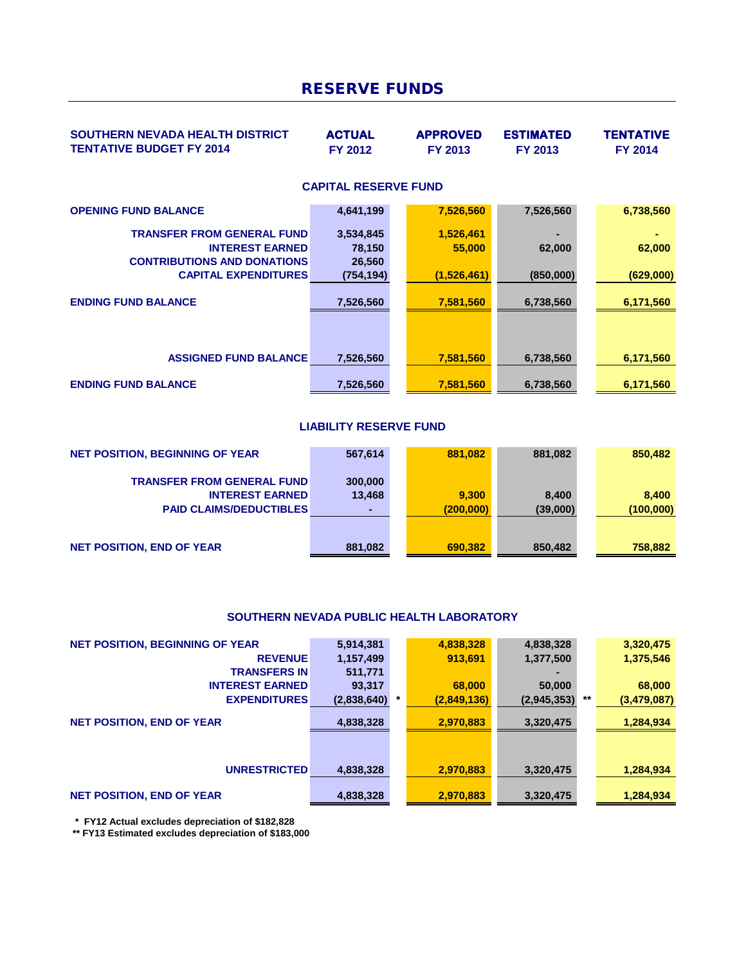# RESERVE FUNDS

| <b>SOUTHERN NEVADA HEALTH DISTRICT</b><br><b>TENTATIVE BUDGET FY 2014</b>                                                        | <b>ACTUAL</b><br><b>FY 2012</b>            | <b>APPROVED</b><br><b>FY 2013</b>  | <b>ESTIMATED</b><br><b>FY 2013</b> | TENTATIVE<br><b>FY 2014</b> |
|----------------------------------------------------------------------------------------------------------------------------------|--------------------------------------------|------------------------------------|------------------------------------|-----------------------------|
|                                                                                                                                  | <b>CAPITAL RESERVE FUND</b>                |                                    |                                    |                             |
| <b>OPENING FUND BALANCE</b>                                                                                                      | 4,641,199                                  | 7,526,560                          | 7,526,560                          | 6,738,560                   |
| <b>TRANSFER FROM GENERAL FUND</b><br><b>INTEREST EARNED</b><br><b>CONTRIBUTIONS AND DONATIONS</b><br><b>CAPITAL EXPENDITURES</b> | 3,534,845<br>78,150<br>26,560<br>(754,194) | 1,526,461<br>55,000<br>(1,526,461) | -<br>62,000<br>(850,000)           | 62,000<br>(629,000)         |
| <b>ENDING FUND BALANCE</b>                                                                                                       | 7,526,560                                  | 7,581,560                          | 6,738,560                          | 6,171,560                   |
| <b>ASSIGNED FUND BALANCE</b>                                                                                                     | 7,526,560                                  | 7,581,560                          | 6,738,560                          | 6,171,560                   |
| <b>ENDING FUND BALANCE</b>                                                                                                       | 7,526,560                                  | 7,581,560                          | 6,738,560                          | 6,171,560                   |

### **LIABILITY RESERVE FUND**

| <b>NET POSITION, BEGINNING OF YEAR</b> | 567,614 | 881.082   | 881,082  | 850,482   |
|----------------------------------------|---------|-----------|----------|-----------|
| <b>TRANSFER FROM GENERAL FUND</b>      | 300,000 |           |          |           |
| <b>INTEREST EARNED</b>                 | 13,468  | 9.300     | 8.400    | 8.400     |
| <b>PAID CLAIMS/DEDUCTIBLES</b>         |         | (200,000) | (39,000) | (100,000) |
|                                        |         |           |          |           |
| <b>NET POSITION, END OF YEAR</b>       | 881,082 | 690.382   | 850,482  | 758,882   |

### **SOUTHERN NEVADA PUBLIC HEALTH LABORATORY**

| <b>NET POSITION, BEGINNING OF YEAR</b> | 5,914,381   |        | 4,838,328   | 4,838,328   |    | 3,320,475   |
|----------------------------------------|-------------|--------|-------------|-------------|----|-------------|
| <b>REVENUE</b>                         | 1,157,499   |        | 913,691     | 1,377,500   |    | 1,375,546   |
| <b>TRANSFERS IN</b>                    | 511,771     |        |             |             |    |             |
| <b>INTEREST EARNED</b>                 | 93,317      |        | 68,000      | 50,000      |    | 68,000      |
| <b>EXPENDITURES</b>                    | (2,838,640) | $\ast$ | (2,849,136) | (2,945,353) | ** | (3,479,087) |
| <b>NET POSITION, END OF YEAR</b>       | 4,838,328   |        | 2,970,883   | 3,320,475   |    | 1,284,934   |
|                                        |             |        |             |             |    |             |
| <b>UNRESTRICTED</b>                    | 4,838,328   |        | 2,970,883   | 3,320,475   |    | 1,284,934   |
| <b>NET POSITION, END OF YEAR</b>       | 4,838,328   |        | 2,970,883   | 3,320,475   |    | 1,284,934   |

 **\* FY12 Actual excludes depreciation of \$182,828**

 **\*\* FY13 Estimated excludes depreciation of \$183,000**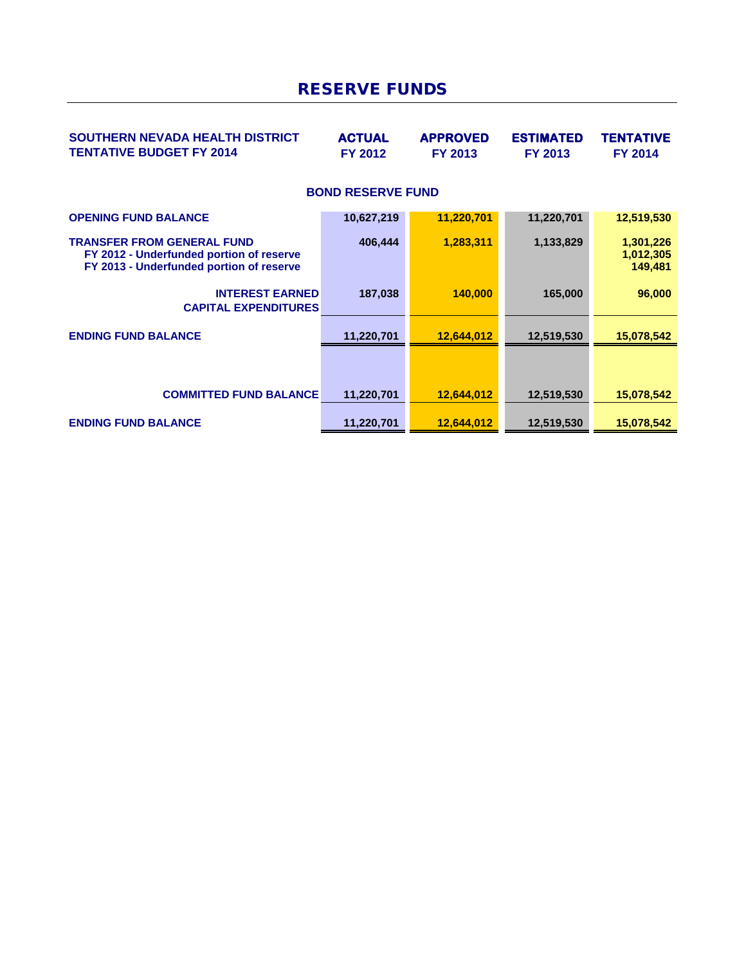## RESERVE FUNDS

| <b>SOUTHERN NEVADA HEALTH DISTRICT</b><br><b>TENTATIVE BUDGET FY 2014</b>                                                 | <b>ACTUAL</b><br><b>FY 2012</b> | <b>APPROVED</b><br><b>FY 2013</b> | <b>ESTIMATED</b><br><b>FY 2013</b> | TENTATIVE<br><b>FY 2014</b>       |
|---------------------------------------------------------------------------------------------------------------------------|---------------------------------|-----------------------------------|------------------------------------|-----------------------------------|
|                                                                                                                           | <b>BOND RESERVE FUND</b>        |                                   |                                    |                                   |
| <b>OPENING FUND BALANCE</b>                                                                                               | 10,627,219                      | 11,220,701                        | 11,220,701                         | 12,519,530                        |
| <b>TRANSFER FROM GENERAL FUND</b><br>FY 2012 - Underfunded portion of reserve<br>FY 2013 - Underfunded portion of reserve | 406,444                         | 1,283,311                         | 1,133,829                          | 1,301,226<br>1,012,305<br>149,481 |
| <b>INTEREST EARNED</b><br><b>CAPITAL EXPENDITURES</b>                                                                     | 187,038                         | 140,000                           | 165,000                            | 96,000                            |
| <b>ENDING FUND BALANCE</b>                                                                                                | 11,220,701                      | 12,644,012                        | 12,519,530                         | 15,078,542                        |
|                                                                                                                           |                                 |                                   |                                    |                                   |
| <b>COMMITTED FUND BALANCE</b>                                                                                             | 11,220,701                      | 12,644,012                        | 12,519,530                         | 15,078,542                        |
| <b>ENDING FUND BALANCE</b>                                                                                                | 11,220,701                      | 12,644,012                        | 12,519,530                         | 15,078,542                        |